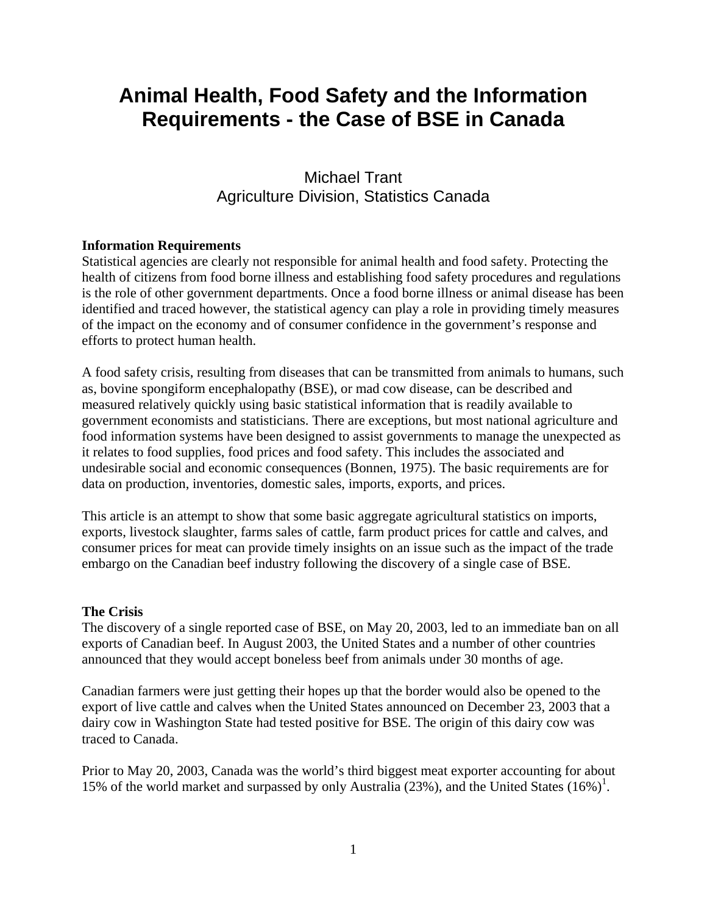# **Animal Health, Food Safety and the Information Requirements - the Case of BSE in Canada**

## Michael Trant Agriculture Division, Statistics Canada

## **Information Requirements**

Statistical agencies are clearly not responsible for animal health and food safety. Protecting the health of citizens from food borne illness and establishing food safety procedures and regulations is the role of other government departments. Once a food borne illness or animal disease has been identified and traced however, the statistical agency can play a role in providing timely measures of the impact on the economy and of consumer confidence in the government's response and efforts to protect human health.

A food safety crisis, resulting from diseases that can be transmitted from animals to humans, such as, bovine spongiform encephalopathy (BSE), or mad cow disease, can be described and measured relatively quickly using basic statistical information that is readily available to government economists and statisticians. There are exceptions, but most national agriculture and food information systems have been designed to assist governments to manage the unexpected as it relates to food supplies, food prices and food safety. This includes the associated and undesirable social and economic consequences (Bonnen, 1975). The basic requirements are for data on production, inventories, domestic sales, imports, exports, and prices.

This article is an attempt to show that some basic aggregate agricultural statistics on imports, exports, livestock slaughter, farms sales of cattle, farm product prices for cattle and calves, and consumer prices for meat can provide timely insights on an issue such as the impact of the trade embargo on the Canadian beef industry following the discovery of a single case of BSE.

## **The Crisis**

The discovery of a single reported case of BSE, on May 20, 2003, led to an immediate ban on all exports of Canadian beef. In August 2003, the United States and a number of other countries announced that they would accept boneless beef from animals under 30 months of age.

Canadian farmers were just getting their hopes up that the border would also be opened to the export of live cattle and calves when the United States announced on December 23, 2003 that a dairy cow in Washington State had tested positive for BSE. The origin of this dairy cow was traced to Canada.

Prior to May 20, 2003, Canada was the world's third biggest meat exporter accounting for about 15% of the world market and surpassed by only Australia  $(23%)$ , and the United States  $(16%)^1$ .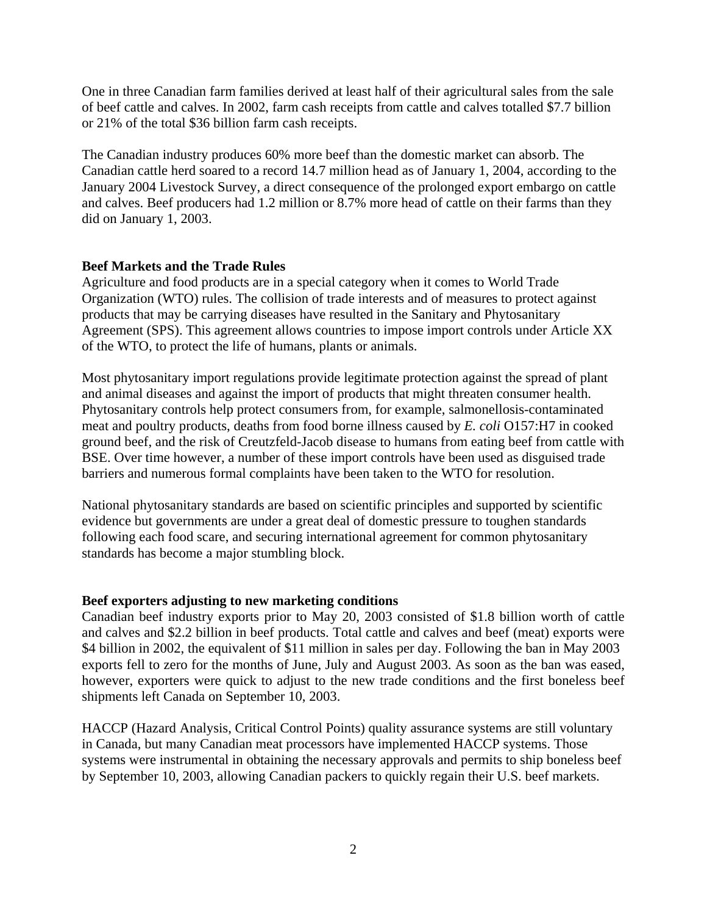One in three Canadian farm families derived at least half of their agricultural sales from the sale of beef cattle and calves. In 2002, farm cash receipts from cattle and calves totalled \$7.7 billion or 21% of the total \$36 billion farm cash receipts.

The Canadian industry produces 60% more beef than the domestic market can absorb. The Canadian cattle herd soared to a record 14.7 million head as of January 1, 2004, according to the January 2004 Livestock Survey, a direct consequence of the prolonged export embargo on cattle and calves. Beef producers had 1.2 million or 8.7% more head of cattle on their farms than they did on January 1, 2003.

## **Beef Markets and the Trade Rules**

Agriculture and food products are in a special category when it comes to World Trade Organization (WTO) rules. The collision of trade interests and of measures to protect against products that may be carrying diseases have resulted in the Sanitary and Phytosanitary Agreement (SPS). This agreement allows countries to impose import controls under Article XX of the WTO, to protect the life of humans, plants or animals.

Most phytosanitary import regulations provide legitimate protection against the spread of plant and animal diseases and against the import of products that might threaten consumer health. Phytosanitary controls help protect consumers from, for example, salmonellosis-contaminated meat and poultry products, deaths from food borne illness caused by *E. coli* O157:H7 in cooked ground beef, and the risk of Creutzfeld-Jacob disease to humans from eating beef from cattle with BSE. Over time however, a number of these import controls have been used as disguised trade barriers and numerous formal complaints have been taken to the WTO for resolution.

National phytosanitary standards are based on scientific principles and supported by scientific evidence but governments are under a great deal of domestic pressure to toughen standards following each food scare, and securing international agreement for common phytosanitary standards has become a major stumbling block.

## **Beef exporters adjusting to new marketing conditions**

Canadian beef industry exports prior to May 20, 2003 consisted of \$1.8 billion worth of cattle and calves and \$2.2 billion in beef products. Total cattle and calves and beef (meat) exports were \$4 billion in 2002, the equivalent of \$11 million in sales per day. Following the ban in May 2003 exports fell to zero for the months of June, July and August 2003. As soon as the ban was eased, however, exporters were quick to adjust to the new trade conditions and the first boneless beef shipments left Canada on September 10, 2003.

HACCP (Hazard Analysis, Critical Control Points) quality assurance systems are still voluntary in Canada, but many Canadian meat processors have implemented HACCP systems. Those systems were instrumental in obtaining the necessary approvals and permits to ship boneless beef by September 10, 2003, allowing Canadian packers to quickly regain their U.S. beef markets.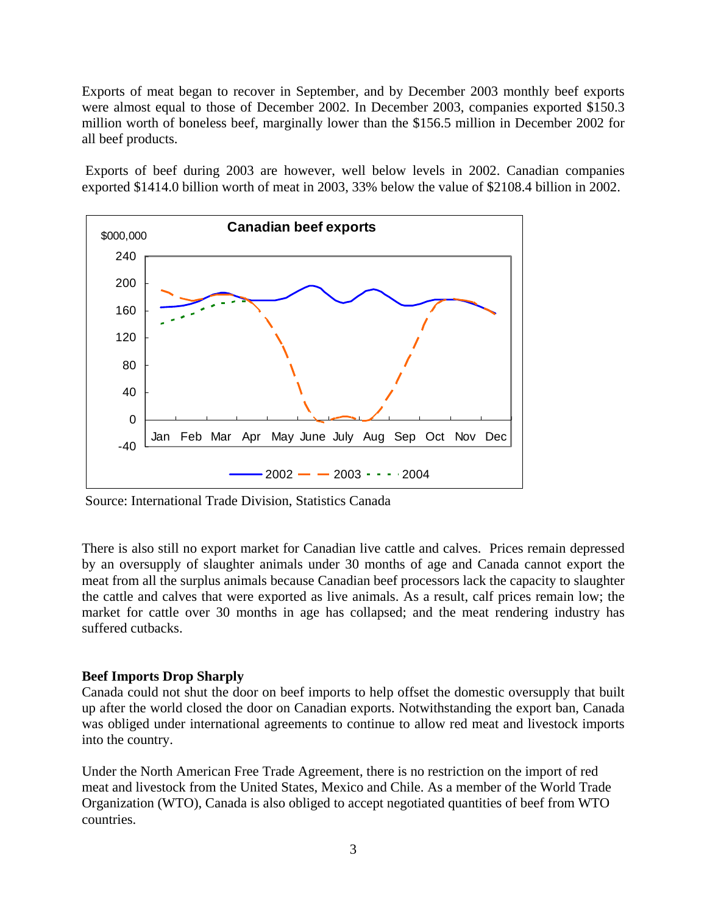Exports of meat began to recover in September, and by December 2003 monthly beef exports were almost equal to those of December 2002. In December 2003, companies exported \$150.3 million worth of boneless beef, marginally lower than the \$156.5 million in December 2002 for all beef products.

 Exports of beef during 2003 are however, well below levels in 2002. Canadian companies exported \$1414.0 billion worth of meat in 2003, 33% below the value of \$2108.4 billion in 2002.



Source: International Trade Division, Statistics Canada

There is also still no export market for Canadian live cattle and calves. Prices remain depressed by an oversupply of slaughter animals under 30 months of age and Canada cannot export the meat from all the surplus animals because Canadian beef processors lack the capacity to slaughter the cattle and calves that were exported as live animals. As a result, calf prices remain low; the market for cattle over 30 months in age has collapsed; and the meat rendering industry has suffered cutbacks.

## **Beef Imports Drop Sharply**

Canada could not shut the door on beef imports to help offset the domestic oversupply that built up after the world closed the door on Canadian exports. Notwithstanding the export ban, Canada was obliged under international agreements to continue to allow red meat and livestock imports into the country.

Under the North American Free Trade Agreement, there is no restriction on the import of red meat and livestock from the United States, Mexico and Chile. As a member of the World Trade Organization (WTO), Canada is also obliged to accept negotiated quantities of beef from WTO countries.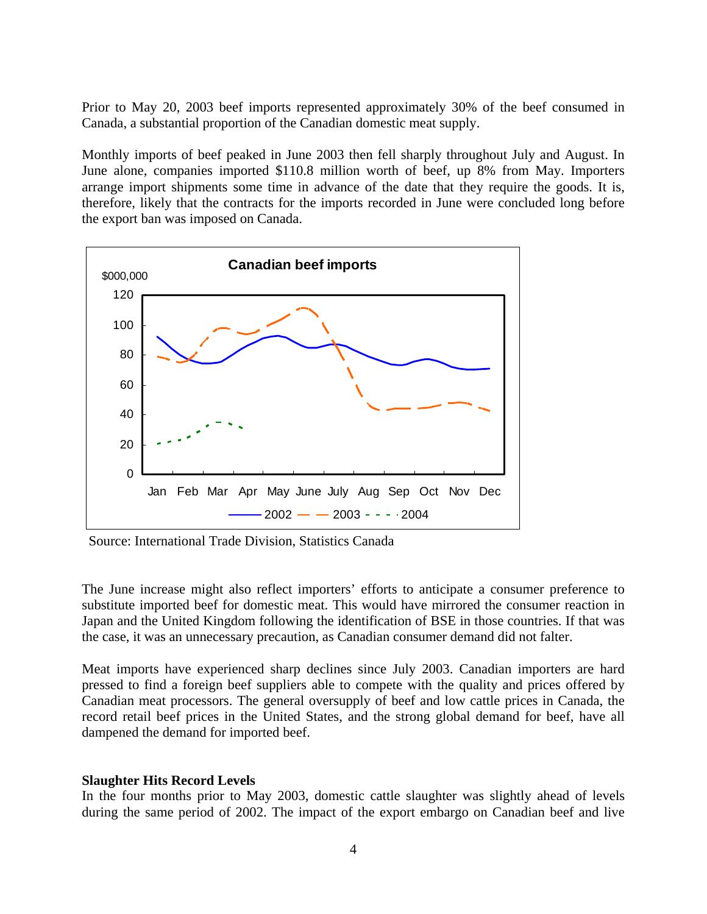Prior to May 20, 2003 beef imports represented approximately 30% of the beef consumed in Canada, a substantial proportion of the Canadian domestic meat supply.

Monthly imports of beef peaked in June 2003 then fell sharply throughout July and August. In June alone, companies imported \$110.8 million worth of beef, up 8% from May. Importers arrange import shipments some time in advance of the date that they require the goods. It is, therefore, likely that the contracts for the imports recorded in June were concluded long before the export ban was imposed on Canada.



Source: International Trade Division, Statistics Canada

The June increase might also reflect importers' efforts to anticipate a consumer preference to substitute imported beef for domestic meat. This would have mirrored the consumer reaction in Japan and the United Kingdom following the identification of BSE in those countries. If that was the case, it was an unnecessary precaution, as Canadian consumer demand did not falter.

Meat imports have experienced sharp declines since July 2003. Canadian importers are hard pressed to find a foreign beef suppliers able to compete with the quality and prices offered by Canadian meat processors. The general oversupply of beef and low cattle prices in Canada, the record retail beef prices in the United States, and the strong global demand for beef, have all dampened the demand for imported beef.

## **Slaughter Hits Record Levels**

In the four months prior to May 2003, domestic cattle slaughter was slightly ahead of levels during the same period of 2002. The impact of the export embargo on Canadian beef and live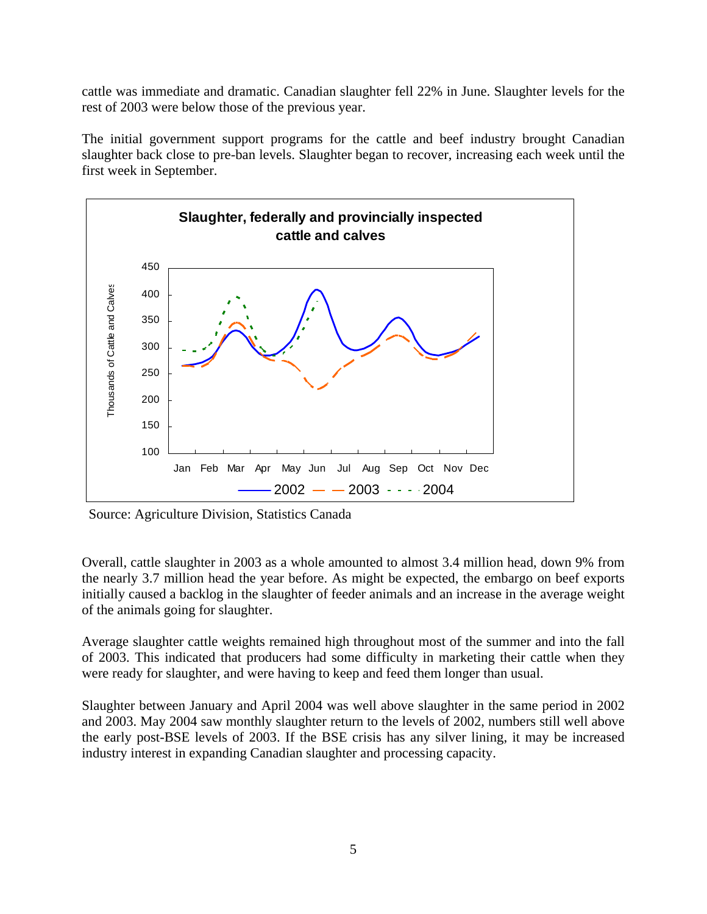cattle was immediate and dramatic. Canadian slaughter fell 22% in June. Slaughter levels for the rest of 2003 were below those of the previous year.

The initial government support programs for the cattle and beef industry brought Canadian slaughter back close to pre-ban levels. Slaughter began to recover, increasing each week until the first week in September.



Source: Agriculture Division, Statistics Canada

Overall, cattle slaughter in 2003 as a whole amounted to almost 3.4 million head, down 9% from the nearly 3.7 million head the year before. As might be expected, the embargo on beef exports initially caused a backlog in the slaughter of feeder animals and an increase in the average weight of the animals going for slaughter.

Average slaughter cattle weights remained high throughout most of the summer and into the fall of 2003. This indicated that producers had some difficulty in marketing their cattle when they were ready for slaughter, and were having to keep and feed them longer than usual.

Slaughter between January and April 2004 was well above slaughter in the same period in 2002 and 2003. May 2004 saw monthly slaughter return to the levels of 2002, numbers still well above the early post-BSE levels of 2003. If the BSE crisis has any silver lining, it may be increased industry interest in expanding Canadian slaughter and processing capacity.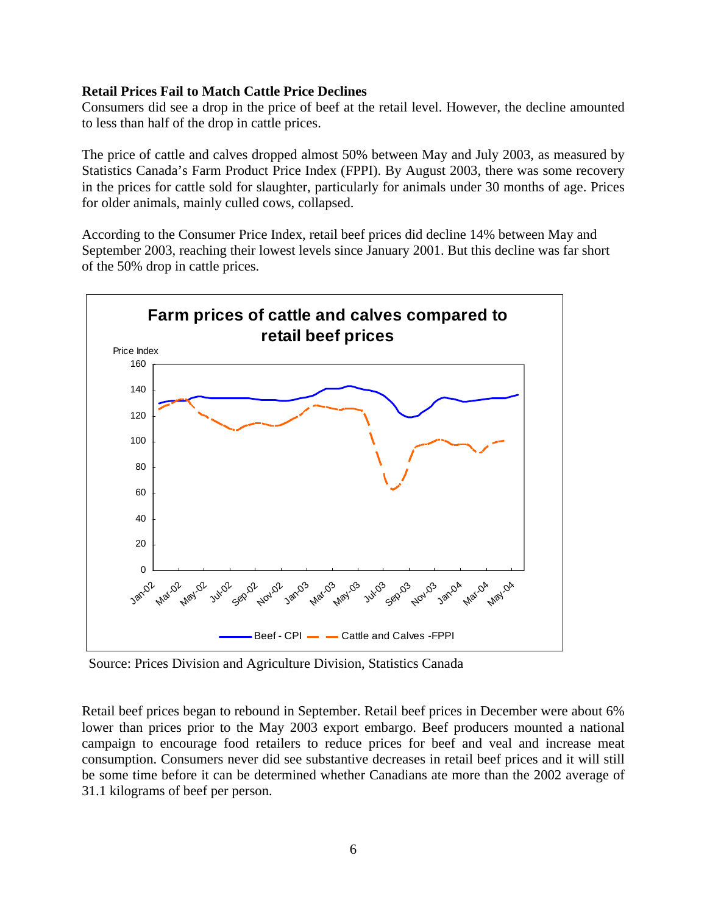## **Retail Prices Fail to Match Cattle Price Declines**

Consumers did see a drop in the price of beef at the retail level. However, the decline amounted to less than half of the drop in cattle prices.

The price of cattle and calves dropped almost 50% between May and July 2003, as measured by Statistics Canada's Farm Product Price Index (FPPI). By August 2003, there was some recovery in the prices for cattle sold for slaughter, particularly for animals under 30 months of age. Prices for older animals, mainly culled cows, collapsed.

According to the Consumer Price Index, retail beef prices did decline 14% between May and September 2003, reaching their lowest levels since January 2001. But this decline was far short of the 50% drop in cattle prices.



Source: Prices Division and Agriculture Division, Statistics Canada

Retail beef prices began to rebound in September. Retail beef prices in December were about 6% lower than prices prior to the May 2003 export embargo. Beef producers mounted a national campaign to encourage food retailers to reduce prices for beef and veal and increase meat consumption. Consumers never did see substantive decreases in retail beef prices and it will still be some time before it can be determined whether Canadians ate more than the 2002 average of 31.1 kilograms of beef per person.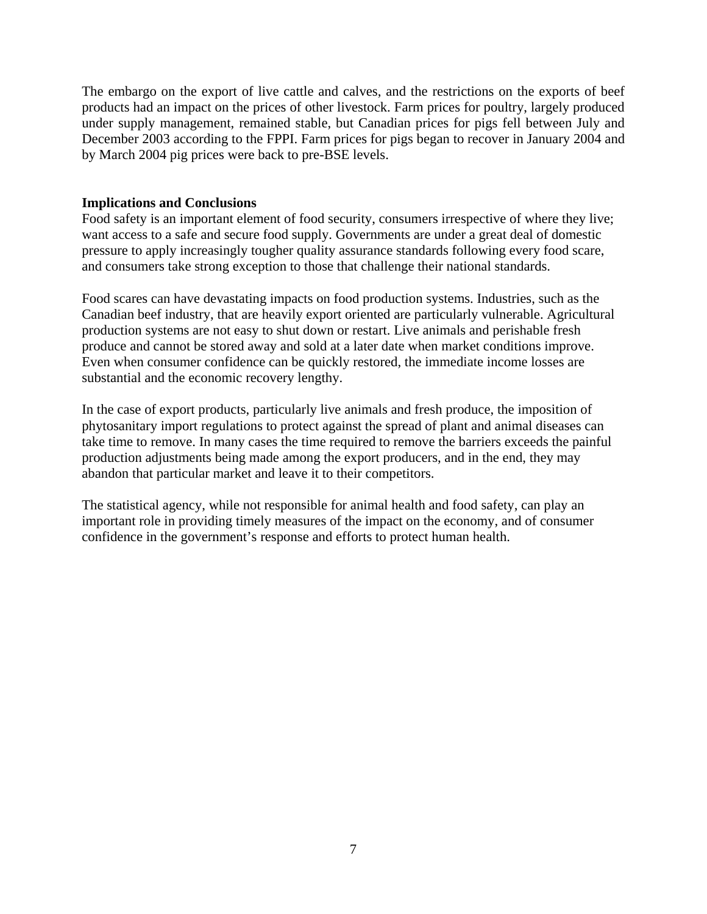The embargo on the export of live cattle and calves, and the restrictions on the exports of beef products had an impact on the prices of other livestock. Farm prices for poultry, largely produced under supply management, remained stable, but Canadian prices for pigs fell between July and December 2003 according to the FPPI. Farm prices for pigs began to recover in January 2004 and by March 2004 pig prices were back to pre-BSE levels.

#### **Implications and Conclusions**

Food safety is an important element of food security, consumers irrespective of where they live; want access to a safe and secure food supply. Governments are under a great deal of domestic pressure to apply increasingly tougher quality assurance standards following every food scare, and consumers take strong exception to those that challenge their national standards.

Food scares can have devastating impacts on food production systems. Industries, such as the Canadian beef industry, that are heavily export oriented are particularly vulnerable. Agricultural production systems are not easy to shut down or restart. Live animals and perishable fresh produce and cannot be stored away and sold at a later date when market conditions improve. Even when consumer confidence can be quickly restored, the immediate income losses are substantial and the economic recovery lengthy.

In the case of export products, particularly live animals and fresh produce, the imposition of phytosanitary import regulations to protect against the spread of plant and animal diseases can take time to remove. In many cases the time required to remove the barriers exceeds the painful production adjustments being made among the export producers, and in the end, they may abandon that particular market and leave it to their competitors.

The statistical agency, while not responsible for animal health and food safety, can play an important role in providing timely measures of the impact on the economy, and of consumer confidence in the government's response and efforts to protect human health.